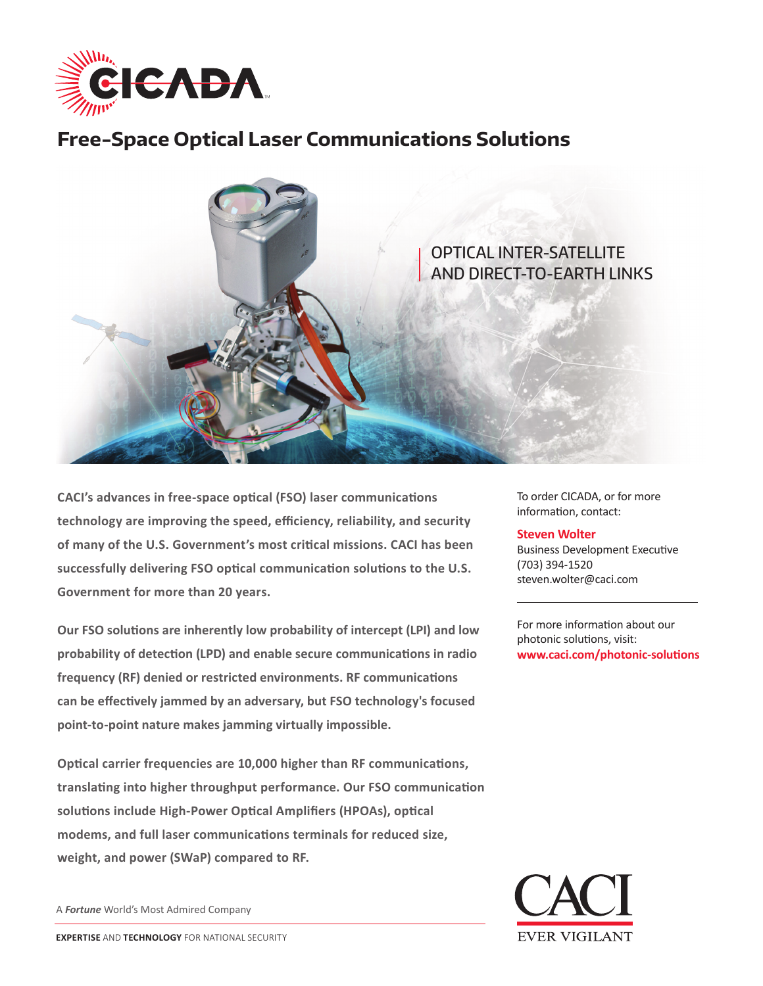

## **Free-Space Optical Laser Communications Solutions**



**CACI's advances in free-space optical (FSO) laser communications technology are improving the speed, efficiency, reliability, and security of many of the U.S. Government's most critical missions. CACI has been successfully delivering FSO optical communication solutions to the U.S. Government for more than 20 years.** 

**Our FSO solutions are inherently low probability of intercept (LPI) and low probability of detection (LPD) and enable secure communications in radio frequency (RF) denied or restricted environments. RF communications can be effectively jammed by an adversary, but FSO technology's focused point-to-point nature makes jamming virtually impossible.** 

**Optical carrier frequencies are 10,000 higher than RF communications, translating into higher throughput performance. Our FSO communication solutions include High-Power Optical Amplifiers (HPOAs), optical modems, and full laser communications terminals for reduced size, weight, and power (SWaP) compared to RF.** 

A *Fortune* World's Most Admired Company

To order CICADA, or for more information, contact:

## **Steven Wolter**

Business Development Executive (703) 394-1520 steven.wolter@caci.com

For more information about our photonic solutions, visit: **www.caci.com/photonic-solutions**